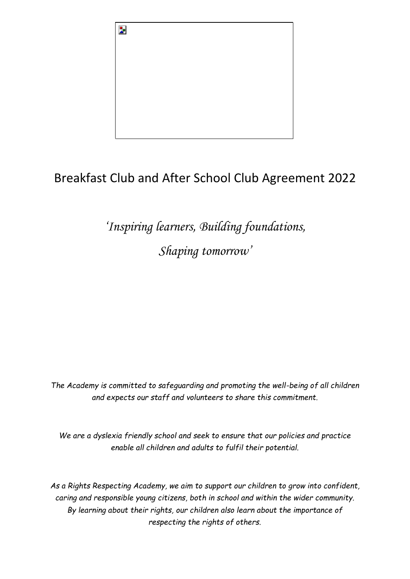

# Breakfast Club and After School Club Agreement 2022

*'Inspiring learners, Building foundations, Shaping tomorrow'*

*The Academy is committed to safeguarding and promoting the well-being of all children and expects our staff and volunteers to share this commitment.* 

*We are a dyslexia friendly school and seek to ensure that our policies and practice enable all children and adults to fulfil their potential.*

*As a Rights Respecting Academy, we aim to support our children to grow into confident, caring and responsible young citizens, both in school and within the wider community. By learning about their rights, our children also learn about the importance of respecting the rights of others.*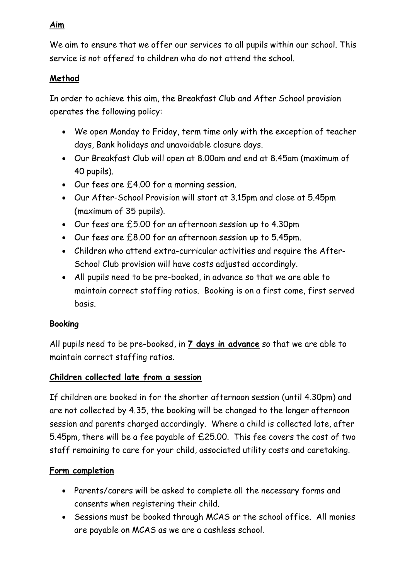### **Aim**

We aim to ensure that we offer our services to all pupils within our school. This service is not offered to children who do not attend the school.

## **Method**

In order to achieve this aim, the Breakfast Club and After School provision operates the following policy:

- We open Monday to Friday, term time only with the exception of teacher days, Bank holidays and unavoidable closure days.
- Our Breakfast Club will open at 8.00am and end at 8.45am (maximum of 40 pupils).
- Our fees are £4.00 for a morning session.
- Our After-School Provision will start at 3.15pm and close at 5.45pm (maximum of 35 pupils).
- Our fees are £5.00 for an afternoon session up to 4.30pm
- Our fees are £8.00 for an afternoon session up to 5.45pm.
- Children who attend extra-curricular activities and require the After-School Club provision will have costs adjusted accordingly.
- All pupils need to be pre-booked, in advance so that we are able to maintain correct staffing ratios. Booking is on a first come, first served basis.

## **Booking**

All pupils need to be pre-booked, in **7 days in advance** so that we are able to maintain correct staffing ratios.

## **Children collected late from a session**

If children are booked in for the shorter afternoon session (until 4.30pm) and are not collected by 4.35, the booking will be changed to the longer afternoon session and parents charged accordingly. Where a child is collected late, after 5.45pm, there will be a fee payable of £25.00. This fee covers the cost of two staff remaining to care for your child, associated utility costs and caretaking.

## **Form completion**

- Parents/carers will be asked to complete all the necessary forms and consents when registering their child.
- Sessions must be booked through MCAS or the school office. All monies are payable on MCAS as we are a cashless school.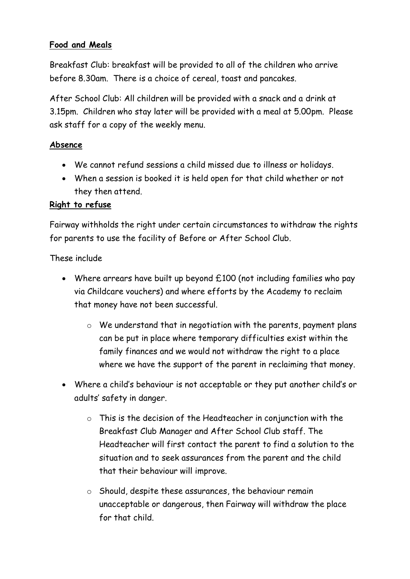### **Food and Meals**

Breakfast Club: breakfast will be provided to all of the children who arrive before 8.30am. There is a choice of cereal, toast and pancakes.

After School Club: All children will be provided with a snack and a drink at 3.15pm. Children who stay later will be provided with a meal at 5.00pm. Please ask staff for a copy of the weekly menu.

### **Absence**

- We cannot refund sessions a child missed due to illness or holidays.
- When a session is booked it is held open for that child whether or not they then attend.

### **Right to refuse**

Fairway withholds the right under certain circumstances to withdraw the rights for parents to use the facility of Before or After School Club.

#### These include

- Where arrears have built up beyond  $£100$  (not including families who pay via Childcare vouchers) and where efforts by the Academy to reclaim that money have not been successful.
	- o We understand that in negotiation with the parents, payment plans can be put in place where temporary difficulties exist within the family finances and we would not withdraw the right to a place where we have the support of the parent in reclaiming that money.
- Where a child's behaviour is not acceptable or they put another child's or adults' safety in danger.
	- o This is the decision of the Headteacher in conjunction with the Breakfast Club Manager and After School Club staff. The Headteacher will first contact the parent to find a solution to the situation and to seek assurances from the parent and the child that their behaviour will improve.
	- o Should, despite these assurances, the behaviour remain unacceptable or dangerous, then Fairway will withdraw the place for that child.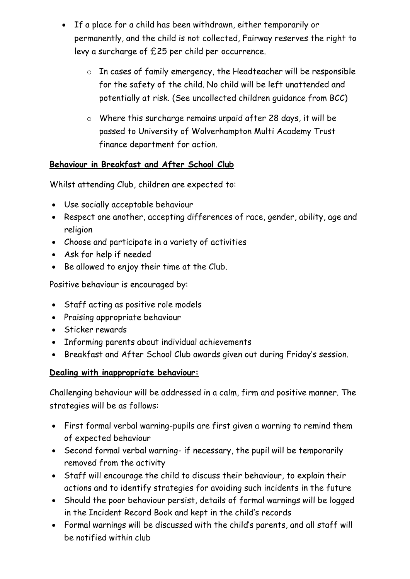- If a place for a child has been withdrawn, either temporarily or permanently, and the child is not collected, Fairway reserves the right to levy a surcharge of £25 per child per occurrence.
	- o In cases of family emergency, the Headteacher will be responsible for the safety of the child. No child will be left unattended and potentially at risk. (See uncollected children guidance from BCC)
	- o Where this surcharge remains unpaid after 28 days, it will be passed to University of Wolverhampton Multi Academy Trust finance department for action.

## **Behaviour in Breakfast and After School Club**

Whilst attending Club, children are expected to:

- Use socially acceptable behaviour
- Respect one another, accepting differences of race, gender, ability, age and religion
- Choose and participate in a variety of activities
- Ask for help if needed
- Be allowed to enjoy their time at the Club.

Positive behaviour is encouraged by:

- Staff acting as positive role models
- Praising appropriate behaviour
- Sticker rewards
- Informing parents about individual achievements
- Breakfast and After School Club awards given out during Friday's session.

### **Dealing with inappropriate behaviour:**

Challenging behaviour will be addressed in a calm, firm and positive manner. The strategies will be as follows:

- First formal verbal warning-pupils are first given a warning to remind them of expected behaviour
- Second formal verbal warning- if necessary, the pupil will be temporarily removed from the activity
- Staff will encourage the child to discuss their behaviour, to explain their actions and to identify strategies for avoiding such incidents in the future
- Should the poor behaviour persist, details of formal warnings will be logged in the Incident Record Book and kept in the child's records
- Formal warnings will be discussed with the child's parents, and all staff will be notified within club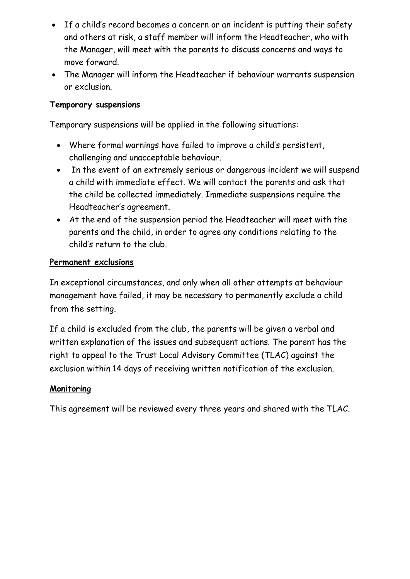- If a child's record becomes a concern or an incident is putting their safety and others at risk, a staff member will inform the Headteacher, who with the Manager, will meet with the parents to discuss concerns and ways to move forward.
- The Manager will inform the Headteacher if behaviour warrants suspension or exclusion.

#### **Temporary suspensions**

Temporary suspensions will be applied in the following situations:

- Where formal warnings have failed to improve a child's persistent, challenging and unacceptable behaviour.
- In the event of an extremely serious or dangerous incident we will suspend a child with immediate effect. We will contact the parents and ask that the child be collected immediately. Immediate suspensions require the Headteacher's agreement.
- At the end of the suspension period the Headteacher will meet with the parents and the child, in order to agree any conditions relating to the child's return to the club.

#### **Permanent exclusions**

In exceptional circumstances, and only when all other attempts at behaviour management have failed, it may be necessary to permanently exclude a child from the setting.

If a child is excluded from the club, the parents will be given a verbal and written explanation of the issues and subsequent actions. The parent has the right to appeal to the Trust Local Advisory Committee (TLAC) against the exclusion within 14 days of receiving written notification of the exclusion.

### **Monitoring**

This agreement will be reviewed every three years and shared with the TLAC.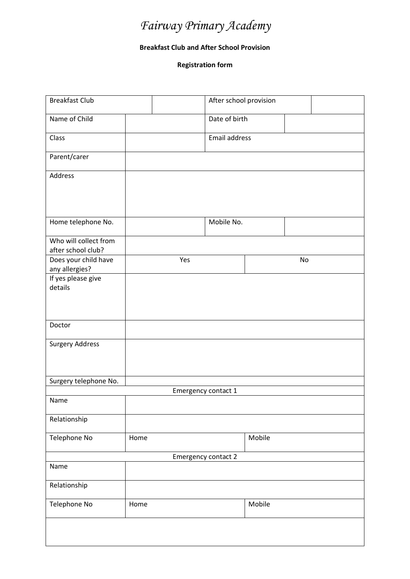# *Fairway Primary Academy*

#### **Breakfast Club and After School Provision**

**Registration form**

| <b>Breakfast Club</b>                       |      |     | After school provision |        |    |  |
|---------------------------------------------|------|-----|------------------------|--------|----|--|
| Name of Child                               |      |     | Date of birth          |        |    |  |
| Class                                       |      |     | Email address          |        |    |  |
| Parent/carer                                |      |     |                        |        |    |  |
| Address                                     |      |     |                        |        |    |  |
|                                             |      |     |                        |        |    |  |
| Home telephone No.                          |      |     | Mobile No.             |        |    |  |
|                                             |      |     |                        |        |    |  |
| Who will collect from<br>after school club? |      |     |                        |        |    |  |
| Does your child have                        |      | Yes |                        |        | No |  |
| any allergies?                              |      |     |                        |        |    |  |
| If yes please give                          |      |     |                        |        |    |  |
| details                                     |      |     |                        |        |    |  |
|                                             |      |     |                        |        |    |  |
|                                             |      |     |                        |        |    |  |
| Doctor                                      |      |     |                        |        |    |  |
| <b>Surgery Address</b>                      |      |     |                        |        |    |  |
|                                             |      |     |                        |        |    |  |
|                                             |      |     |                        |        |    |  |
| Surgery telephone No.                       |      |     |                        |        |    |  |
|                                             |      |     | Emergency contact 1    |        |    |  |
| Name                                        |      |     |                        |        |    |  |
| Relationship                                |      |     |                        |        |    |  |
| Telephone No                                | Home |     |                        | Mobile |    |  |
|                                             |      |     | Emergency contact 2    |        |    |  |
| Name                                        |      |     |                        |        |    |  |
| Relationship                                |      |     |                        |        |    |  |
| Telephone No                                | Home |     |                        | Mobile |    |  |
|                                             |      |     |                        |        |    |  |
|                                             |      |     |                        |        |    |  |